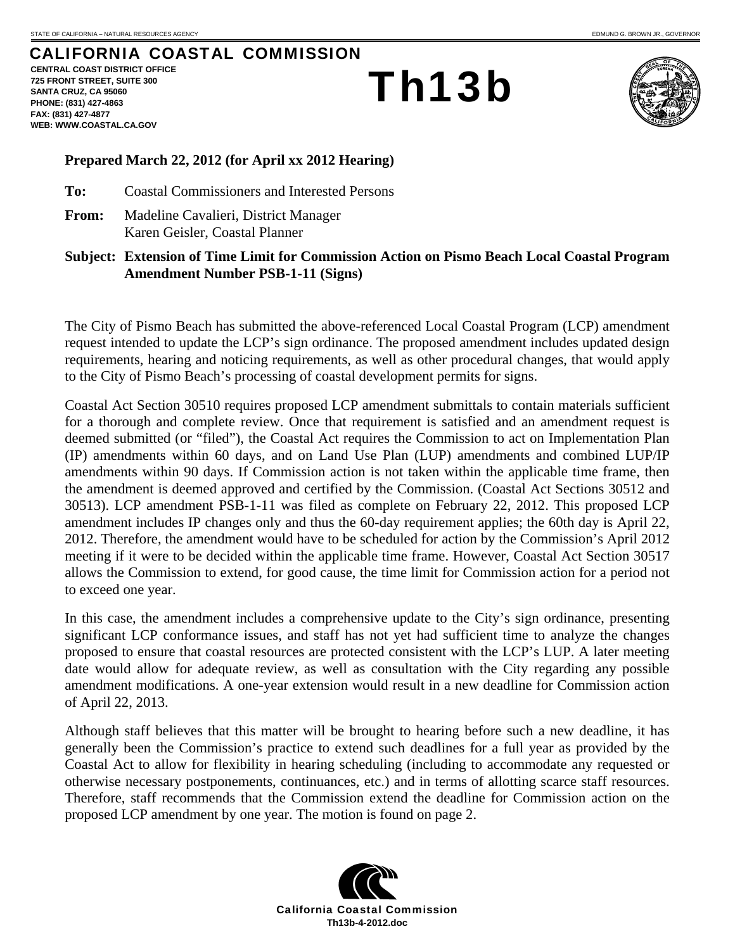**FAX: (831) 427-4877** 

**WEB: WWW.COASTAL.CA.GOV**

## CALIFORNIA COASTAL COMMISSION **CENTRAL COAST DISTRICT OFFICE 725 FRONT STREET, SUITE 300 SANTA CRUZ, CA 95060 PHONE: (831) 427-4863**  Th13b



## **Prepared March 22, 2012 (for April xx 2012 Hearing)**

**To:** Coastal Commissioners and Interested Persons

**From:** Madeline Cavalieri, District Manager Karen Geisler, Coastal Planner

**Subject: Extension of Time Limit for Commission Action on Pismo Beach Local Coastal Program Amendment Number PSB-1-11 (Signs)** 

The City of Pismo Beach has submitted the above-referenced Local Coastal Program (LCP) amendment request intended to update the LCP's sign ordinance. The proposed amendment includes updated design requirements, hearing and noticing requirements, as well as other procedural changes, that would apply to the City of Pismo Beach's processing of coastal development permits for signs.

Coastal Act Section 30510 requires proposed LCP amendment submittals to contain materials sufficient for a thorough and complete review. Once that requirement is satisfied and an amendment request is deemed submitted (or "filed"), the Coastal Act requires the Commission to act on Implementation Plan (IP) amendments within 60 days, and on Land Use Plan (LUP) amendments and combined LUP/IP amendments within 90 days. If Commission action is not taken within the applicable time frame, then the amendment is deemed approved and certified by the Commission. (Coastal Act Sections 30512 and 30513). LCP amendment PSB-1-11 was filed as complete on February 22, 2012. This proposed LCP amendment includes IP changes only and thus the 60-day requirement applies; the 60th day is April 22, 2012. Therefore, the amendment would have to be scheduled for action by the Commission's April 2012 meeting if it were to be decided within the applicable time frame. However, Coastal Act Section 30517 allows the Commission to extend, for good cause, the time limit for Commission action for a period not to exceed one year.

In this case, the amendment includes a comprehensive update to the City's sign ordinance, presenting significant LCP conformance issues, and staff has not yet had sufficient time to analyze the changes proposed to ensure that coastal resources are protected consistent with the LCP's LUP. A later meeting date would allow for adequate review, as well as consultation with the City regarding any possible amendment modifications. A one-year extension would result in a new deadline for Commission action of April 22, 2013.

Although staff believes that this matter will be brought to hearing before such a new deadline, it has generally been the Commission's practice to extend such deadlines for a full year as provided by the Coastal Act to allow for flexibility in hearing scheduling (including to accommodate any requested or otherwise necessary postponements, continuances, etc.) and in terms of allotting scarce staff resources. Therefore, staff recommends that the Commission extend the deadline for Commission action on the proposed LCP amendment by one year. The motion is found on page 2.